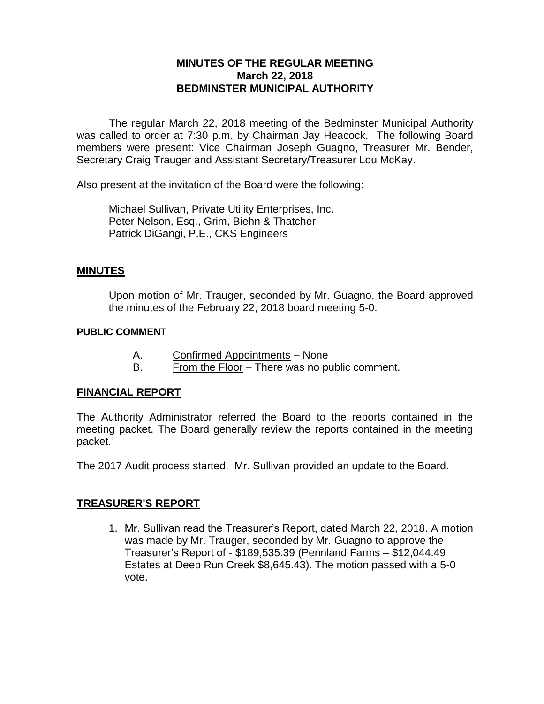# **MINUTES OF THE REGULAR MEETING March 22, 2018 BEDMINSTER MUNICIPAL AUTHORITY**

The regular March 22, 2018 meeting of the Bedminster Municipal Authority was called to order at 7:30 p.m. by Chairman Jay Heacock. The following Board members were present: Vice Chairman Joseph Guagno, Treasurer Mr. Bender, Secretary Craig Trauger and Assistant Secretary/Treasurer Lou McKay.

Also present at the invitation of the Board were the following:

Michael Sullivan, Private Utility Enterprises, Inc. Peter Nelson, Esq., Grim, Biehn & Thatcher Patrick DiGangi, P.E., CKS Engineers

## **MINUTES**

Upon motion of Mr. Trauger, seconded by Mr. Guagno, the Board approved the minutes of the February 22, 2018 board meeting 5-0.

#### **PUBLIC COMMENT**

- A. Confirmed Appointments None
- B. From the Floor There was no public comment.

## **FINANCIAL REPORT**

The Authority Administrator referred the Board to the reports contained in the meeting packet. The Board generally review the reports contained in the meeting packet.

The 2017 Audit process started. Mr. Sullivan provided an update to the Board.

## **TREASURER'S REPORT**

1. Mr. Sullivan read the Treasurer's Report, dated March 22, 2018. A motion was made by Mr. Trauger, seconded by Mr. Guagno to approve the Treasurer's Report of - \$189,535.39 (Pennland Farms – \$12,044.49 Estates at Deep Run Creek \$8,645.43). The motion passed with a 5-0 vote.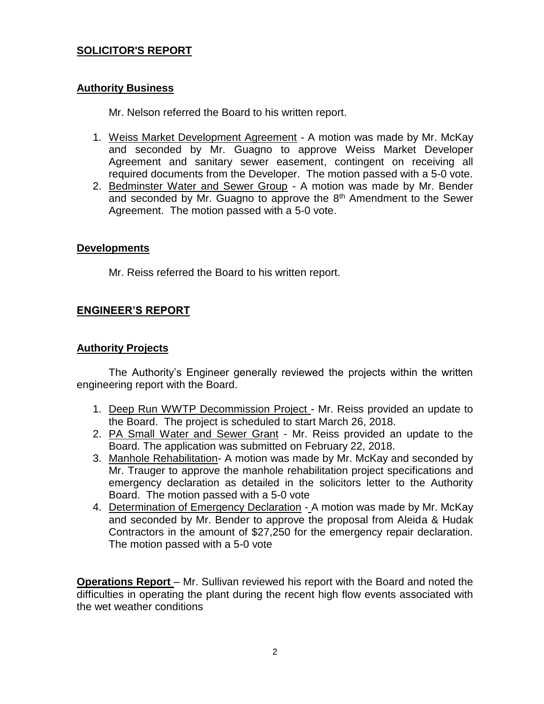# **SOLICITOR'S REPORT**

#### **Authority Business**

Mr. Nelson referred the Board to his written report.

- 1. Weiss Market Development Agreement A motion was made by Mr. McKay and seconded by Mr. Guagno to approve Weiss Market Developer Agreement and sanitary sewer easement, contingent on receiving all required documents from the Developer. The motion passed with a 5-0 vote.
- 2. Bedminster Water and Sewer Group A motion was made by Mr. Bender and seconded by Mr. Guagno to approve the  $8<sup>th</sup>$  Amendment to the Sewer Agreement. The motion passed with a 5-0 vote.

#### **Developments**

Mr. Reiss referred the Board to his written report.

## **ENGINEER'S REPORT**

#### **Authority Projects**

The Authority's Engineer generally reviewed the projects within the written engineering report with the Board.

- 1. Deep Run WWTP Decommission Project Mr. Reiss provided an update to the Board. The project is scheduled to start March 26, 2018.
- 2. PA Small Water and Sewer Grant Mr. Reiss provided an update to the Board. The application was submitted on February 22, 2018.
- 3. Manhole Rehabilitation- A motion was made by Mr. McKay and seconded by Mr. Trauger to approve the manhole rehabilitation project specifications and emergency declaration as detailed in the solicitors letter to the Authority Board. The motion passed with a 5-0 vote
- 4. Determination of Emergency Declaration A motion was made by Mr. McKay and seconded by Mr. Bender to approve the proposal from Aleida & Hudak Contractors in the amount of \$27,250 for the emergency repair declaration. The motion passed with a 5-0 vote

**Operations Report** – Mr. Sullivan reviewed his report with the Board and noted the difficulties in operating the plant during the recent high flow events associated with the wet weather conditions